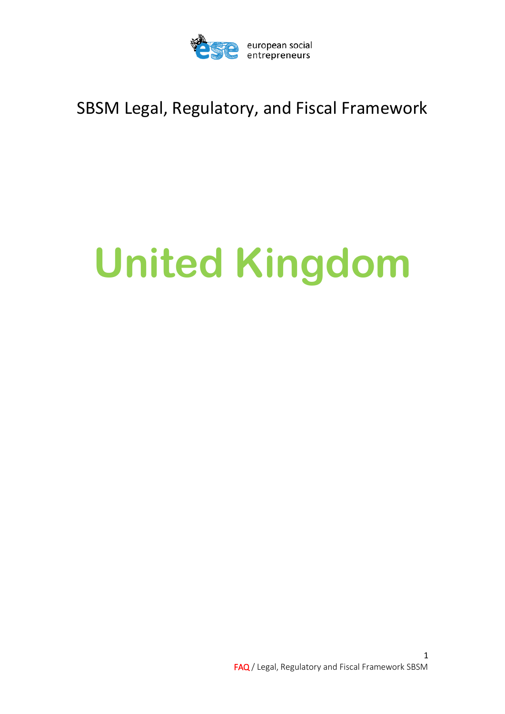

## SBSM Legal, Regulatory, and Fiscal Framework

# **United Kingdom**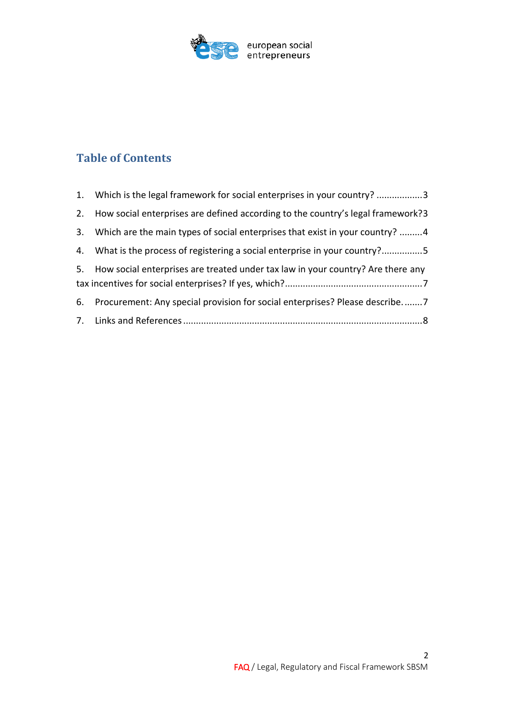

### **Table of Contents**

| 1. Which is the legal framework for social enterprises in your country? 3          |
|------------------------------------------------------------------------------------|
| 2. How social enterprises are defined according to the country's legal framework?3 |
| 3. Which are the main types of social enterprises that exist in your country? 4    |
| 4. What is the process of registering a social enterprise in your country?5        |
| 5. How social enterprises are treated under tax law in your country? Are there any |
| 6. Procurement: Any special provision for social enterprises? Please describe7     |
|                                                                                    |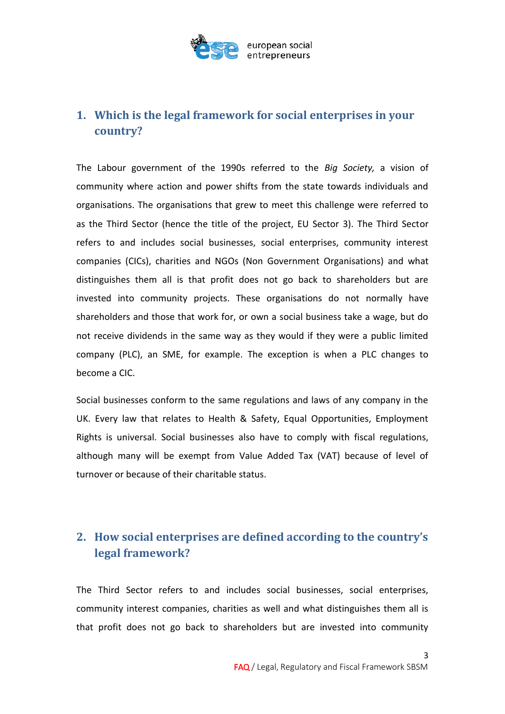

#### <span id="page-2-0"></span>**1. Which is the legal framework for social enterprises in your country?**

The Labour government of the 1990s referred to the *Big Society,* a vision of community where action and power shifts from the state towards individuals and organisations. The organisations that grew to meet this challenge were referred to as the Third Sector (hence the title of the project, EU Sector 3). The Third Sector refers to and includes social businesses, social enterprises, community interest companies (CICs), charities and NGOs (Non Government Organisations) and what distinguishes them all is that profit does not go back to shareholders but are invested into community projects. These organisations do not normally have shareholders and those that work for, or own a social business take a wage, but do not receive dividends in the same way as they would if they were a public limited company (PLC), an SME, for example. The exception is when a PLC changes to become a CIC.

Social businesses conform to the same regulations and laws of any company in the UK. Every law that relates to Health & Safety, Equal Opportunities, Employment Rights is universal. Social businesses also have to comply with fiscal regulations, although many will be exempt from Value Added Tax (VAT) because of level of turnover or because of their charitable status.

#### <span id="page-2-1"></span>**2. How social enterprises are defined according to the country's legal framework?**

The Third Sector refers to and includes social businesses, social enterprises, community interest companies, charities as well and what distinguishes them all is that profit does not go back to shareholders but are invested into community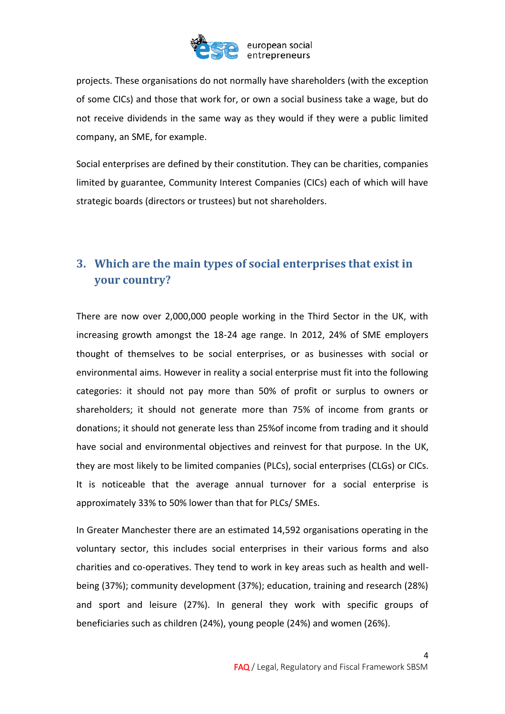

projects. These organisations do not normally have shareholders (with the exception of some CICs) and those that work for, or own a social business take a wage, but do not receive dividends in the same way as they would if they were a public limited company, an SME, for example.

Social enterprises are defined by their constitution. They can be charities, companies limited by guarantee, Community Interest Companies (CICs) each of which will have strategic boards (directors or trustees) but not shareholders.

#### <span id="page-3-0"></span>**3. Which are the main types of social enterprises that exist in your country?**

There are now over 2,000,000 people working in the Third Sector in the UK, with increasing growth amongst the 18-24 age range. In 2012, 24% of SME employers thought of themselves to be social enterprises, or as businesses with social or environmental aims. However in reality a social enterprise must fit into the following categories: it should not pay more than 50% of profit or surplus to owners or shareholders; it should not generate more than 75% of income from grants or donations; it should not generate less than 25%of income from trading and it should have social and environmental objectives and reinvest for that purpose. In the UK, they are most likely to be limited companies (PLCs), social enterprises (CLGs) or CICs. It is noticeable that the average annual turnover for a social enterprise is approximately 33% to 50% lower than that for PLCs/ SMEs.

In Greater Manchester there are an estimated 14,592 organisations operating in the voluntary sector, this includes social enterprises in their various forms and also charities and co-operatives. They tend to work in key areas such as health and wellbeing (37%); community development (37%); education, training and research (28%) and sport and leisure (27%). In general they work with specific groups of beneficiaries such as children (24%), young people (24%) and women (26%).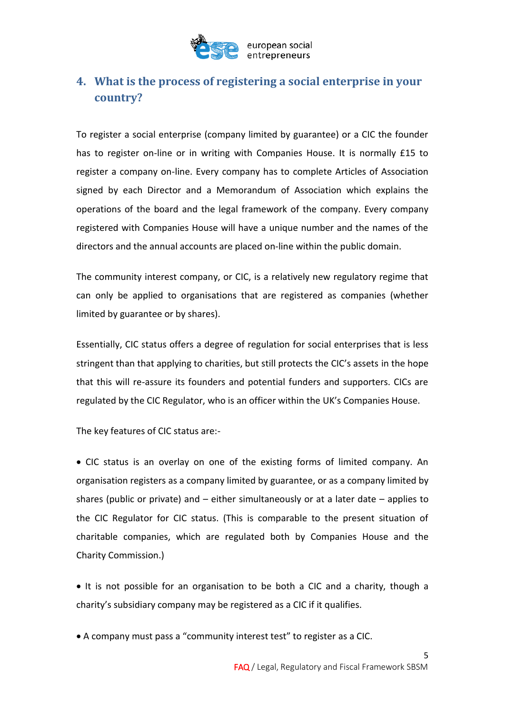

#### <span id="page-4-0"></span>**4. What is the process of registering a social enterprise in your country?**

To register a social enterprise (company limited by guarantee) or a CIC the founder has to register on-line or in writing with Companies House. It is normally £15 to register a company on-line. Every company has to complete Articles of Association signed by each Director and a Memorandum of Association which explains the operations of the board and the legal framework of the company. Every company registered with Companies House will have a unique number and the names of the directors and the annual accounts are placed on-line within the public domain.

The community interest company, or CIC, is a relatively new regulatory regime that can only be applied to organisations that are registered as companies (whether limited by guarantee or by shares).

Essentially, CIC status offers a degree of regulation for social enterprises that is less stringent than that applying to charities, but still protects the CIC's assets in the hope that this will re-assure its founders and potential funders and supporters. CICs are regulated by the CIC Regulator, who is an officer within the UK's Companies House.

The key features of CIC status are:-

 CIC status is an overlay on one of the existing forms of limited company. An organisation registers as a company limited by guarantee, or as a company limited by shares (public or private) and  $-$  either simultaneously or at a later date  $-$  applies to the CIC Regulator for CIC status. (This is comparable to the present situation of charitable companies, which are regulated both by Companies House and the Charity Commission.)

• It is not possible for an organisation to be both a CIC and a charity, though a charity's subsidiary company may be registered as a CIC if it qualifies.

A company must pass a "community interest test" to register as a CIC.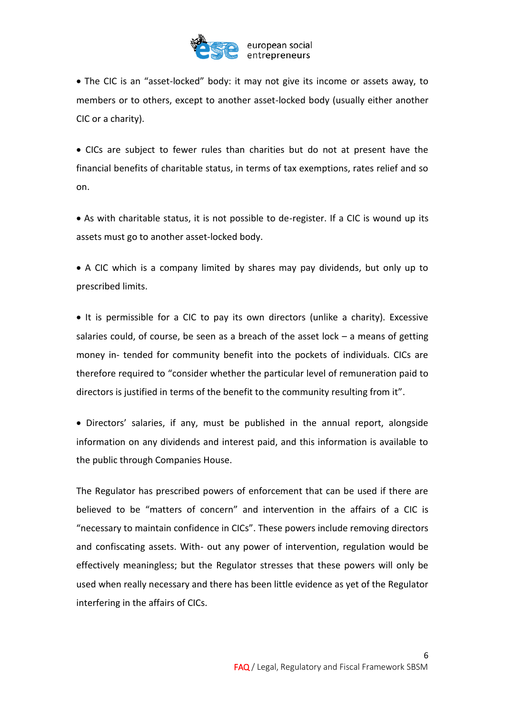

 The CIC is an "asset-locked" body: it may not give its income or assets away, to members or to others, except to another asset-locked body (usually either another CIC or a charity).

 CICs are subject to fewer rules than charities but do not at present have the financial benefits of charitable status, in terms of tax exemptions, rates relief and so on.

 As with charitable status, it is not possible to de-register. If a CIC is wound up its assets must go to another asset-locked body.

 A CIC which is a company limited by shares may pay dividends, but only up to prescribed limits.

• It is permissible for a CIC to pay its own directors (unlike a charity). Excessive salaries could, of course, be seen as a breach of the asset lock  $-$  a means of getting money in- tended for community benefit into the pockets of individuals. CICs are therefore required to "consider whether the particular level of remuneration paid to directors is justified in terms of the benefit to the community resulting from it".

 Directors' salaries, if any, must be published in the annual report, alongside information on any dividends and interest paid, and this information is available to the public through Companies House.

The Regulator has prescribed powers of enforcement that can be used if there are believed to be "matters of concern" and intervention in the affairs of a CIC is "necessary to maintain confidence in CICs". These powers include removing directors and confiscating assets. With- out any power of intervention, regulation would be effectively meaningless; but the Regulator stresses that these powers will only be used when really necessary and there has been little evidence as yet of the Regulator interfering in the affairs of CICs.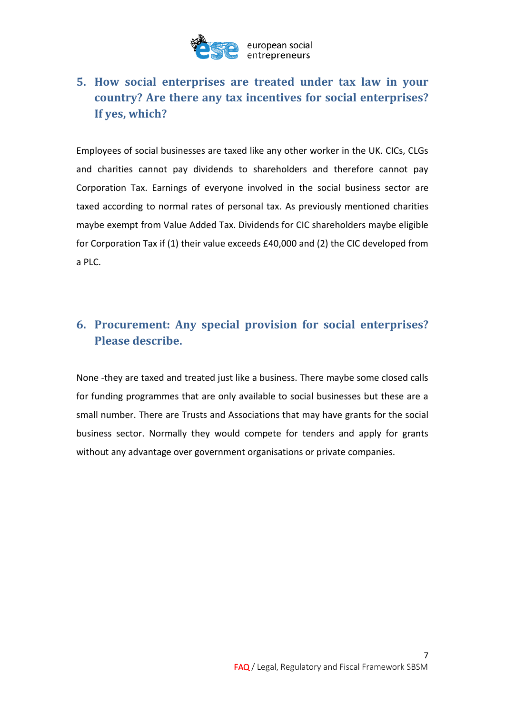

#### <span id="page-6-0"></span>**5. How social enterprises are treated under tax law in your country? Are there any tax incentives for social enterprises? If yes, which?**

Employees of social businesses are taxed like any other worker in the UK. CICs, CLGs and charities cannot pay dividends to shareholders and therefore cannot pay Corporation Tax. Earnings of everyone involved in the social business sector are taxed according to normal rates of personal tax. As previously mentioned charities maybe exempt from Value Added Tax. Dividends for CIC shareholders maybe eligible for Corporation Tax if (1) their value exceeds £40,000 and (2) the CIC developed from a PLC.

#### <span id="page-6-1"></span>**6. Procurement: Any special provision for social enterprises? Please describe.**

None -they are taxed and treated just like a business. There maybe some closed calls for funding programmes that are only available to social businesses but these are a small number. There are Trusts and Associations that may have grants for the social business sector. Normally they would compete for tenders and apply for grants without any advantage over government organisations or private companies.